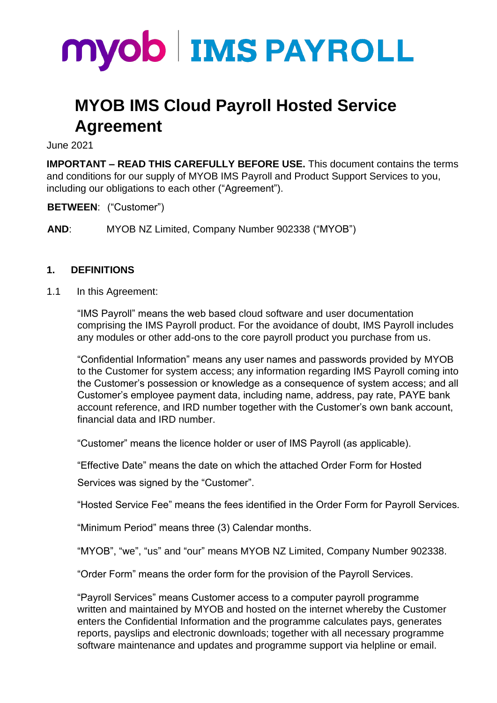

# **MYOB IMS Cloud Payroll Hosted Service Agreement**

June 2021

**IMPORTANT – READ THIS CAREFULLY BEFORE USE.** This document contains the terms and conditions for our supply of MYOB IMS Payroll and Product Support Services to you, including our obligations to each other ("Agreement").

**BETWEEN**: ("Customer")

**AND**: MYOB NZ Limited, Company Number 902338 ("MYOB")

#### **1. DEFINITIONS**

1.1 In this Agreement:

"IMS Payroll" means the web based cloud software and user documentation comprising the IMS Payroll product. For the avoidance of doubt, IMS Payroll includes any modules or other add-ons to the core payroll product you purchase from us.

"Confidential Information" means any user names and passwords provided by MYOB to the Customer for system access; any information regarding IMS Payroll coming into the Customer's possession or knowledge as a consequence of system access; and all Customer's employee payment data, including name, address, pay rate, PAYE bank account reference, and IRD number together with the Customer's own bank account, financial data and IRD number.

"Customer" means the licence holder or user of IMS Payroll (as applicable).

"Effective Date" means the date on which the attached Order Form for Hosted

Services was signed by the "Customer".

"Hosted Service Fee" means the fees identified in the Order Form for Payroll Services.

"Minimum Period" means three (3) Calendar months.

"MYOB", "we", "us" and "our" means MYOB NZ Limited, Company Number 902338.

"Order Form" means the order form for the provision of the Payroll Services.

"Payroll Services" means Customer access to a computer payroll programme written and maintained by MYOB and hosted on the internet whereby the Customer enters the Confidential Information and the programme calculates pays, generates reports, payslips and electronic downloads; together with all necessary programme software maintenance and updates and programme support via helpline or email.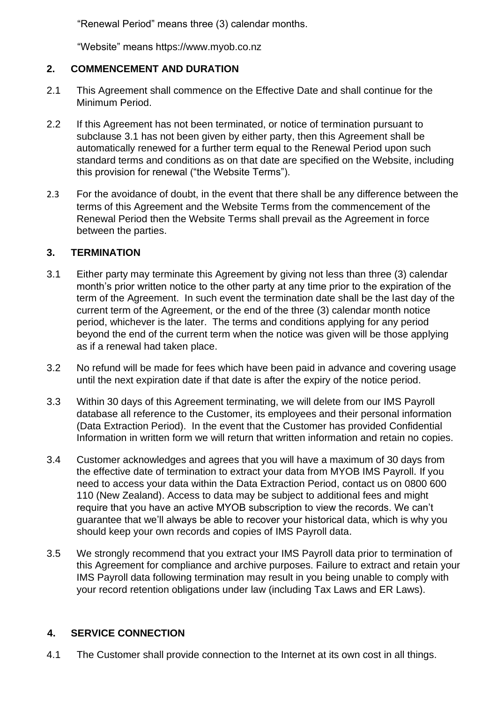"Renewal Period" means three (3) calendar months.

"Website" means https://www.myob.co.nz

# **2. COMMENCEMENT AND DURATION**

- 2.1 This Agreement shall commence on the Effective Date and shall continue for the Minimum Period.
- 2.2 If this Agreement has not been terminated, or notice of termination pursuant to subclause 3.1 has not been given by either party, then this Agreement shall be automatically renewed for a further term equal to the Renewal Period upon such standard terms and conditions as on that date are specified on the Website, including this provision for renewal ("the Website Terms").
- 2.3 For the avoidance of doubt, in the event that there shall be any difference between the terms of this Agreement and the Website Terms from the commencement of the Renewal Period then the Website Terms shall prevail as the Agreement in force between the parties.

## **3. TERMINATION**

- 3.1 Either party may terminate this Agreement by giving not less than three (3) calendar month's prior written notice to the other party at any time prior to the expiration of the term of the Agreement. In such event the termination date shall be the last day of the current term of the Agreement, or the end of the three (3) calendar month notice period, whichever is the later. The terms and conditions applying for any period beyond the end of the current term when the notice was given will be those applying as if a renewal had taken place.
- 3.2 No refund will be made for fees which have been paid in advance and covering usage until the next expiration date if that date is after the expiry of the notice period.
- 3.3 Within 30 days of this Agreement terminating, we will delete from our IMS Payroll database all reference to the Customer, its employees and their personal information (Data Extraction Period). In the event that the Customer has provided Confidential Information in written form we will return that written information and retain no copies.
- 3.4 Customer acknowledges and agrees that you will have a maximum of 30 days from the effective date of termination to extract your data from MYOB IMS Payroll. If you need to access your data within the Data Extraction Period, contact us on 0800 600 110 (New Zealand). Access to data may be subject to additional fees and might require that you have an active MYOB subscription to view the records. We can't guarantee that we'll always be able to recover your historical data, which is why you should keep your own records and copies of IMS Payroll data.
- 3.5 We strongly recommend that you extract your IMS Payroll data prior to termination of this Agreement for compliance and archive purposes. Failure to extract and retain your IMS Payroll data following termination may result in you being unable to comply with your record retention obligations under law (including Tax Laws and ER Laws).

## **4. SERVICE CONNECTION**

4.1 The Customer shall provide connection to the Internet at its own cost in all things.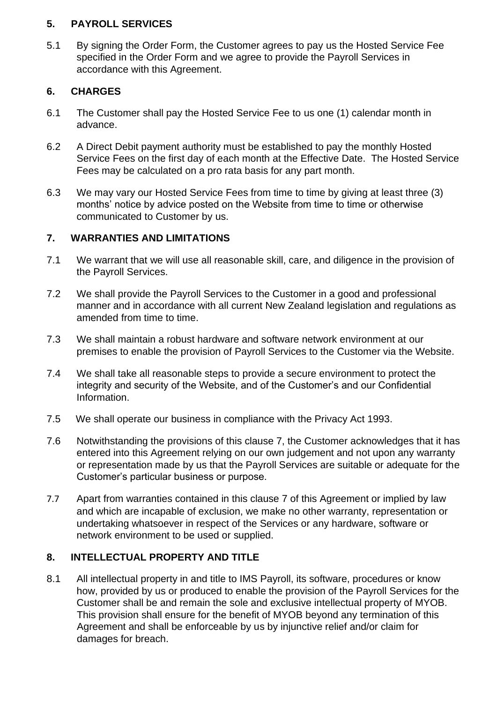## **5. PAYROLL SERVICES**

5.1 By signing the Order Form, the Customer agrees to pay us the Hosted Service Fee specified in the Order Form and we agree to provide the Payroll Services in accordance with this Agreement.

## **6. CHARGES**

- 6.1 The Customer shall pay the Hosted Service Fee to us one (1) calendar month in advance.
- 6.2 A Direct Debit payment authority must be established to pay the monthly Hosted Service Fees on the first day of each month at the Effective Date. The Hosted Service Fees may be calculated on a pro rata basis for any part month.
- 6.3 We may vary our Hosted Service Fees from time to time by giving at least three (3) months' notice by advice posted on the Website from time to time or otherwise communicated to Customer by us.

## **7. WARRANTIES AND LIMITATIONS**

- 7.1 We warrant that we will use all reasonable skill, care, and diligence in the provision of the Payroll Services.
- 7.2 We shall provide the Payroll Services to the Customer in a good and professional manner and in accordance with all current New Zealand legislation and regulations as amended from time to time.
- 7.3 We shall maintain a robust hardware and software network environment at our premises to enable the provision of Payroll Services to the Customer via the Website.
- 7.4 We shall take all reasonable steps to provide a secure environment to protect the integrity and security of the Website, and of the Customer's and our Confidential Information.
- 7.5 We shall operate our business in compliance with the Privacy Act 1993.
- 7.6 Notwithstanding the provisions of this clause 7, the Customer acknowledges that it has entered into this Agreement relying on our own judgement and not upon any warranty or representation made by us that the Payroll Services are suitable or adequate for the Customer's particular business or purpose.
- 7.7 Apart from warranties contained in this clause 7 of this Agreement or implied by law and which are incapable of exclusion, we make no other warranty, representation or undertaking whatsoever in respect of the Services or any hardware, software or network environment to be used or supplied.

# **8. INTELLECTUAL PROPERTY AND TITLE**

8.1 All intellectual property in and title to IMS Payroll, its software, procedures or know how, provided by us or produced to enable the provision of the Payroll Services for the Customer shall be and remain the sole and exclusive intellectual property of MYOB. This provision shall ensure for the benefit of MYOB beyond any termination of this Agreement and shall be enforceable by us by injunctive relief and/or claim for damages for breach.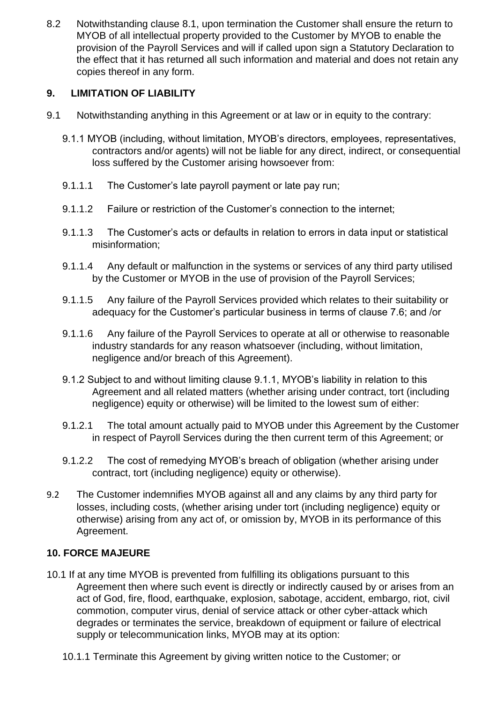8.2 Notwithstanding clause 8.1, upon termination the Customer shall ensure the return to MYOB of all intellectual property provided to the Customer by MYOB to enable the provision of the Payroll Services and will if called upon sign a Statutory Declaration to the effect that it has returned all such information and material and does not retain any copies thereof in any form.

## **9. LIMITATION OF LIABILITY**

- 9.1 Notwithstanding anything in this Agreement or at law or in equity to the contrary:
	- 9.1.1 MYOB (including, without limitation, MYOB's directors, employees, representatives, contractors and/or agents) will not be liable for any direct, indirect, or consequential loss suffered by the Customer arising howsoever from:
	- 9.1.1.1 The Customer's late payroll payment or late pay run;
	- 9.1.1.2 Failure or restriction of the Customer's connection to the internet;
	- 9.1.1.3 The Customer's acts or defaults in relation to errors in data input or statistical misinformation;
	- 9.1.1.4 Any default or malfunction in the systems or services of any third party utilised by the Customer or MYOB in the use of provision of the Payroll Services;
	- 9.1.1.5 Any failure of the Payroll Services provided which relates to their suitability or adequacy for the Customer's particular business in terms of clause 7.6; and /or
	- 9.1.1.6 Any failure of the Payroll Services to operate at all or otherwise to reasonable industry standards for any reason whatsoever (including, without limitation, negligence and/or breach of this Agreement).
	- 9.1.2 Subject to and without limiting clause 9.1.1, MYOB's liability in relation to this Agreement and all related matters (whether arising under contract, tort (including negligence) equity or otherwise) will be limited to the lowest sum of either:
	- 9.1.2.1 The total amount actually paid to MYOB under this Agreement by the Customer in respect of Payroll Services during the then current term of this Agreement; or
	- 9.1.2.2 The cost of remedying MYOB's breach of obligation (whether arising under contract, tort (including negligence) equity or otherwise).
- 9.2 The Customer indemnifies MYOB against all and any claims by any third party for losses, including costs, (whether arising under tort (including negligence) equity or otherwise) arising from any act of, or omission by, MYOB in its performance of this Agreement.

## **10. FORCE MAJEURE**

- 10.1 If at any time MYOB is prevented from fulfilling its obligations pursuant to this Agreement then where such event is directly or indirectly caused by or arises from an act of God, fire, flood, earthquake, explosion, sabotage, accident, embargo, riot, civil commotion, computer virus, denial of service attack or other cyber-attack which degrades or terminates the service, breakdown of equipment or failure of electrical supply or telecommunication links, MYOB may at its option:
	- 10.1.1 Terminate this Agreement by giving written notice to the Customer; or